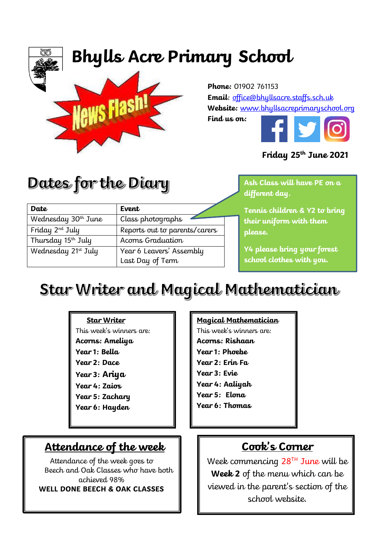# **Bhylls Acre Primary School**



**Phone:** 01902 761153 **Email**: [office@bhyllsacre.staffs.sch.uk](mailto:office@bhyllsacre.staffs.sch.uk) **Website:** [www.bhyllsacreprimaryschool.org](http://www.bhyllsacreprimaryschool.org/)

**Find us on:** 



#### **Friday 25th June 2021**

Dates for the Diary

Wednesday 30<sup>th</sup> June Class photographs

Thursday 15th July Acorns Graduation

Friday 2<sup>nd</sup> July Reports out to parents/carers

Last Day of Term

Wednesday 21<sup>st</sup> July | Year 6 Leavers' Assembly

**Date Event**

**October 2020 Ash Class will have PE on a different day.** 

**Tennis children & Y2 to bring their uniform with them please.**

**Y4 please bring your forest school clothes with you.**

## Star Writer and Magical Mathematician

#### **Star Writer**

This week's winners are: **Acorns: Ameliya Year 1: Bella Year 2: Dace Year 3: Ariya Year 4: Zaios Year 5: Zachary Year 6: Hayden**

### **Attendance of the week**

Attendance of the week goes to Beech and Oak Classes who have both achieved 98% **WELL DONE BEECH & OAK CLASSES**

#### **Magical Mathematician**

This week's winners are: **Acorns: Rishaan Year 1: Phoebe Year 2: Erin Fa Year 3: Evie Year 4: Aaliyah Year 5: Elona Year 6: Thomas**

## **Cook's Corner**

Week commencing 28<sup>TH</sup> June will be **Week 2** of the menu which can be viewed in the parent's section of the school website.